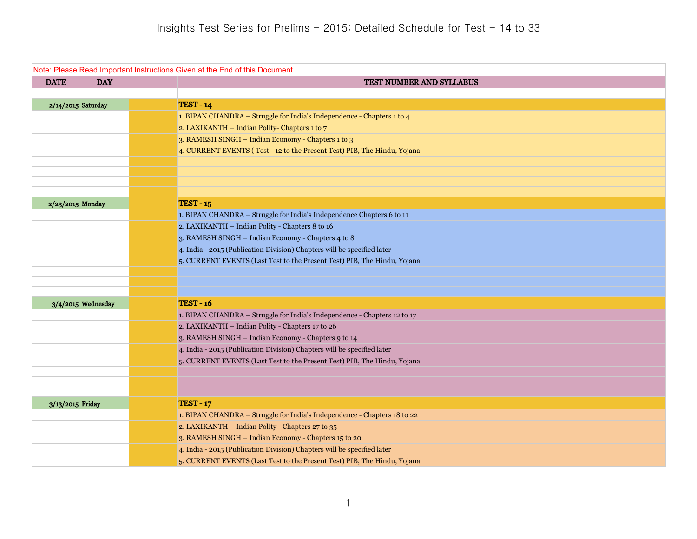| Note: Please Read Important Instructions Given at the End of this Document |                      |                                                                          |  |
|----------------------------------------------------------------------------|----------------------|--------------------------------------------------------------------------|--|
| <b>DATE</b>                                                                | <b>DAY</b>           | TEST NUMBER AND SYLLABUS                                                 |  |
|                                                                            |                      |                                                                          |  |
|                                                                            | 2/14/2015 Saturday   | <b>TEST - 14</b>                                                         |  |
|                                                                            |                      | 1. BIPAN CHANDRA - Struggle for India's Independence - Chapters 1 to 4   |  |
|                                                                            |                      | 2. LAXIKANTH - Indian Polity- Chapters 1 to 7                            |  |
|                                                                            |                      | 3. RAMESH SINGH - Indian Economy - Chapters 1 to 3                       |  |
|                                                                            |                      | 4. CURRENT EVENTS (Test - 12 to the Present Test) PIB, The Hindu, Yojana |  |
|                                                                            |                      |                                                                          |  |
|                                                                            |                      |                                                                          |  |
|                                                                            |                      |                                                                          |  |
| 2/23/2015 Monday                                                           |                      | <b>TEST - 15</b>                                                         |  |
|                                                                            |                      | 1. BIPAN CHANDRA - Struggle for India's Independence Chapters 6 to 11    |  |
|                                                                            |                      | 2. LAXIKANTH - Indian Polity - Chapters 8 to 16                          |  |
|                                                                            |                      | 3. RAMESH SINGH - Indian Economy - Chapters 4 to 8                       |  |
|                                                                            |                      | 4. India - 2015 (Publication Division) Chapters will be specified later  |  |
|                                                                            |                      | 5. CURRENT EVENTS (Last Test to the Present Test) PIB, The Hindu, Yojana |  |
|                                                                            |                      |                                                                          |  |
|                                                                            |                      |                                                                          |  |
|                                                                            |                      |                                                                          |  |
|                                                                            | $3/4/2015$ Wednesday | <b>TEST - 16</b>                                                         |  |
|                                                                            |                      | 1. BIPAN CHANDRA - Struggle for India's Independence - Chapters 12 to 17 |  |
|                                                                            |                      | 2. LAXIKANTH - Indian Polity - Chapters 17 to 26                         |  |
|                                                                            |                      | 3. RAMESH SINGH - Indian Economy - Chapters 9 to 14                      |  |
|                                                                            |                      | 4. India - 2015 (Publication Division) Chapters will be specified later  |  |
|                                                                            |                      | 5. CURRENT EVENTS (Last Test to the Present Test) PIB, The Hindu, Yojana |  |
|                                                                            |                      |                                                                          |  |
|                                                                            |                      |                                                                          |  |
| 3/13/2015 Friday                                                           |                      | <b>TEST - 17</b>                                                         |  |
|                                                                            |                      | 1. BIPAN CHANDRA - Struggle for India's Independence - Chapters 18 to 22 |  |
|                                                                            |                      | 2. LAXIKANTH - Indian Polity - Chapters 27 to 35                         |  |
|                                                                            |                      | 3. RAMESH SINGH - Indian Economy - Chapters 15 to 20                     |  |
|                                                                            |                      | 4. India - 2015 (Publication Division) Chapters will be specified later  |  |
|                                                                            |                      | 5. CURRENT EVENTS (Last Test to the Present Test) PIB, The Hindu, Yojana |  |
|                                                                            |                      |                                                                          |  |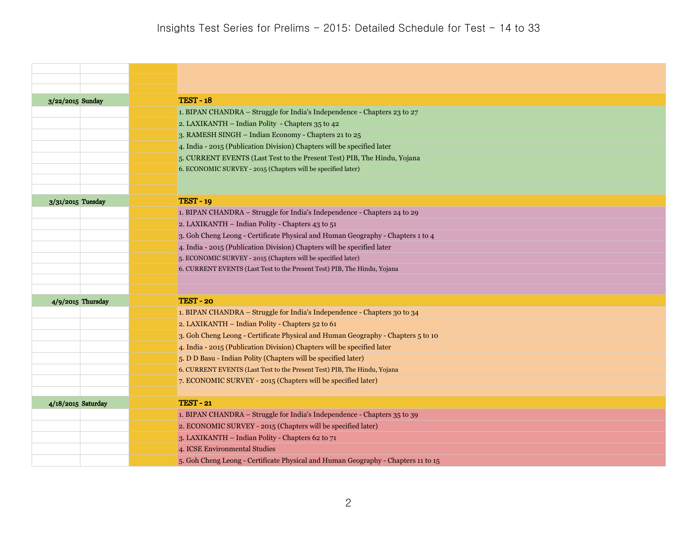| 3/22/2015 Sunday   | <b>TEST - 18</b>                                                                  |
|--------------------|-----------------------------------------------------------------------------------|
|                    | 1. BIPAN CHANDRA - Struggle for India's Independence - Chapters 23 to 27          |
|                    | 2. LAXIKANTH - Indian Polity - Chapters 35 to 42                                  |
|                    | 3. RAMESH SINGH - Indian Economy - Chapters 21 to 25                              |
|                    | 4. India - 2015 (Publication Division) Chapters will be specified later           |
|                    | 5. CURRENT EVENTS (Last Test to the Present Test) PIB, The Hindu, Yojana          |
|                    | 6. ECONOMIC SURVEY - 2015 (Chapters will be specified later)                      |
|                    |                                                                                   |
|                    |                                                                                   |
| 3/31/2015 Tuesday  | <b>TEST - 19</b>                                                                  |
|                    | 1. BIPAN CHANDRA - Struggle for India's Independence - Chapters 24 to 29          |
|                    | 2. LAXIKANTH - Indian Polity - Chapters 43 to 51                                  |
|                    | 3. Goh Cheng Leong - Certificate Physical and Human Geography - Chapters 1 to 4   |
|                    | 4. India - 2015 (Publication Division) Chapters will be specified later           |
|                    | 5. ECONOMIC SURVEY - 2015 (Chapters will be specified later)                      |
|                    | 6. CURRENT EVENTS (Last Test to the Present Test) PIB, The Hindu, Yojana          |
|                    |                                                                                   |
| 4/9/2015 Thursday  | <b>TEST - 20</b>                                                                  |
|                    | 1. BIPAN CHANDRA - Struggle for India's Independence - Chapters 30 to 34          |
|                    | 2. LAXIKANTH - Indian Polity - Chapters 52 to 61                                  |
|                    | 3. Goh Cheng Leong - Certificate Physical and Human Geography - Chapters 5 to 10  |
|                    | 4. India - 2015 (Publication Division) Chapters will be specified later           |
|                    | 5. D D Basu - Indian Polity (Chapters will be specified later)                    |
|                    | 6. CURRENT EVENTS (Last Test to the Present Test) PIB, The Hindu, Yojana          |
|                    | 7. ECONOMIC SURVEY - 2015 (Chapters will be specified later)                      |
|                    |                                                                                   |
| 4/18/2015 Saturday | <b>TEST - 21</b>                                                                  |
|                    | 1. BIPAN CHANDRA - Struggle for India's Independence - Chapters 35 to 39          |
|                    | 2. ECONOMIC SURVEY - 2015 (Chapters will be specified later)                      |
|                    | 3. LAXIKANTH - Indian Polity - Chapters 62 to 71                                  |
|                    | 4. ICSE Environmental Studies                                                     |
|                    | 5. Goh Cheng Leong - Certificate Physical and Human Geography - Chapters 11 to 15 |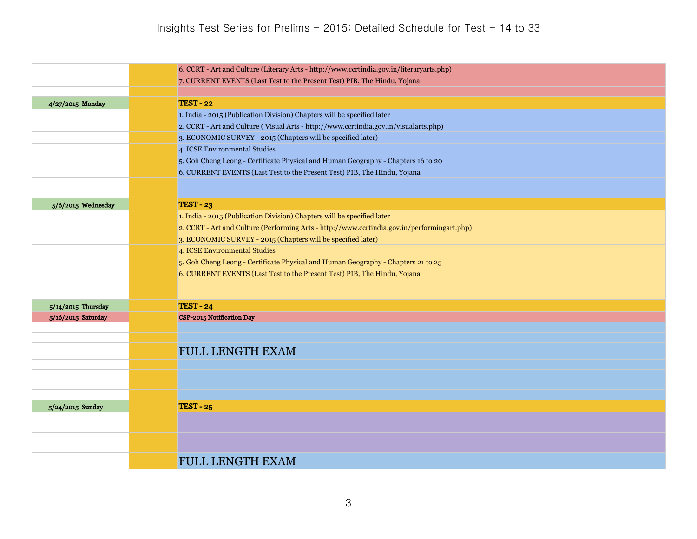|                  |                                          | 6. CCRT - Art and Culture (Literary Arts - http://www.ccrtindia.gov.in/literaryarts.php)    |
|------------------|------------------------------------------|---------------------------------------------------------------------------------------------|
|                  |                                          | 7. CURRENT EVENTS (Last Test to the Present Test) PIB, The Hindu, Yojana                    |
|                  |                                          |                                                                                             |
| 4/27/2015 Monday |                                          | <b>TEST - 22</b>                                                                            |
|                  |                                          | 1. India - 2015 (Publication Division) Chapters will be specified later                     |
|                  |                                          | 2. CCRT - Art and Culture (Visual Arts - http://www.ccrtindia.gov.in/visualarts.php)        |
|                  |                                          | 3. ECONOMIC SURVEY - 2015 (Chapters will be specified later)                                |
|                  |                                          | 4. ICSE Environmental Studies                                                               |
|                  |                                          | 5. Goh Cheng Leong - Certificate Physical and Human Geography - Chapters 16 to 20           |
|                  |                                          | 6. CURRENT EVENTS (Last Test to the Present Test) PIB, The Hindu, Yojana                    |
|                  |                                          |                                                                                             |
|                  | 5/6/2015 Wednesday                       | <b>TEST - 23</b>                                                                            |
|                  |                                          | 1. India - 2015 (Publication Division) Chapters will be specified later                     |
|                  |                                          | 2. CCRT - Art and Culture (Performing Arts - http://www.ccrtindia.gov.in/performingart.php) |
|                  |                                          | 3. ECONOMIC SURVEY - 2015 (Chapters will be specified later)                                |
|                  |                                          | 4. ICSE Environmental Studies                                                               |
|                  |                                          | 5. Goh Cheng Leong - Certificate Physical and Human Geography - Chapters 21 to 25           |
|                  |                                          | 6. CURRENT EVENTS (Last Test to the Present Test) PIB, The Hindu, Yojana                    |
|                  |                                          |                                                                                             |
|                  |                                          | <b>TEST - 24</b>                                                                            |
|                  | 5/14/2015 Thursday<br>5/16/2015 Saturday | CSP-2015 Notification Day                                                                   |
|                  |                                          |                                                                                             |
|                  |                                          |                                                                                             |
|                  |                                          | <b>FULL LENGTH EXAM</b>                                                                     |
|                  |                                          |                                                                                             |
|                  |                                          |                                                                                             |
|                  |                                          |                                                                                             |
|                  |                                          |                                                                                             |
| 5/24/2015 Sunday |                                          | <b>TEST - 25</b>                                                                            |
|                  |                                          |                                                                                             |
|                  |                                          |                                                                                             |
|                  |                                          |                                                                                             |
|                  |                                          | <b>FULL LENGTH EXAM</b>                                                                     |
|                  |                                          |                                                                                             |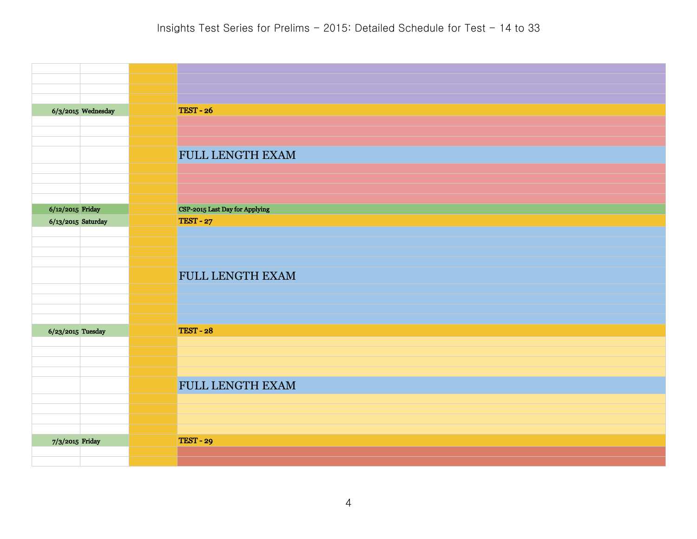|                     | $6/3/2015$ Wednesday | <b>TEST - 26</b>               |
|---------------------|----------------------|--------------------------------|
|                     |                      |                                |
|                     |                      |                                |
|                     |                      |                                |
|                     |                      | FULL LENGTH EXAM               |
|                     |                      |                                |
|                     |                      |                                |
|                     |                      |                                |
| $6/12/2015$ Friday  |                      | CSP-2015 Last Day for Applying |
| 6/13/2015 Saturday  |                      | <b>TEST - 27</b>               |
|                     |                      |                                |
|                     |                      |                                |
|                     |                      |                                |
|                     |                      | FULL LENGTH EXAM               |
|                     |                      |                                |
|                     |                      |                                |
|                     |                      |                                |
|                     |                      |                                |
| $6/23/2015$ Tuesday |                      | <b>TEST - 28</b>               |
|                     |                      |                                |
|                     |                      |                                |
|                     |                      |                                |
|                     |                      | FULL LENGTH EXAM               |
|                     |                      |                                |
|                     |                      |                                |
|                     |                      |                                |
| 7/3/2015 Friday     |                      | <b>TEST - 29</b>               |
|                     |                      |                                |
|                     |                      |                                |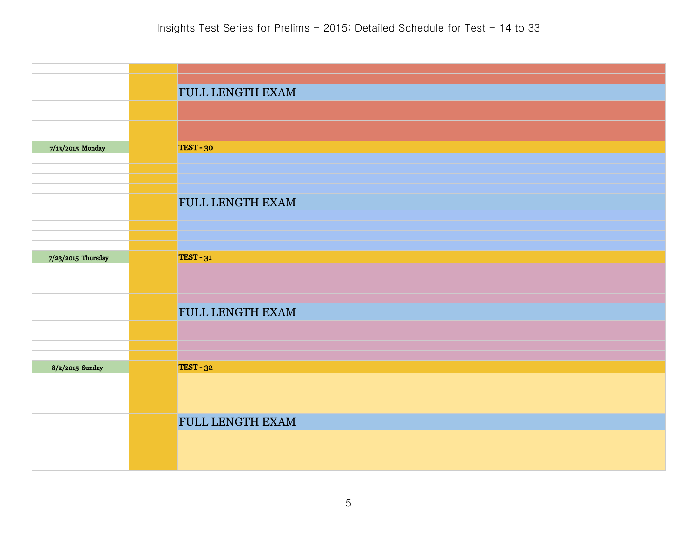|                  |                    | FULL LENGTH EXAM        |
|------------------|--------------------|-------------------------|
|                  |                    |                         |
|                  |                    |                         |
| 7/13/2015 Monday |                    | TEST-30                 |
|                  |                    |                         |
|                  |                    |                         |
|                  |                    | <b>FULL LENGTH EXAM</b> |
|                  |                    |                         |
|                  |                    |                         |
|                  | 7/23/2015 Thursday | <b>TEST - 31</b>        |
|                  |                    |                         |
|                  |                    |                         |
|                  |                    | FULL LENGTH EXAM        |
|                  |                    |                         |
|                  |                    |                         |
| 8/2/2015 Sunday  |                    | <b>TEST - 32</b>        |
|                  |                    |                         |
|                  |                    |                         |
|                  |                    | FULL LENGTH EXAM        |
|                  |                    |                         |
|                  |                    |                         |